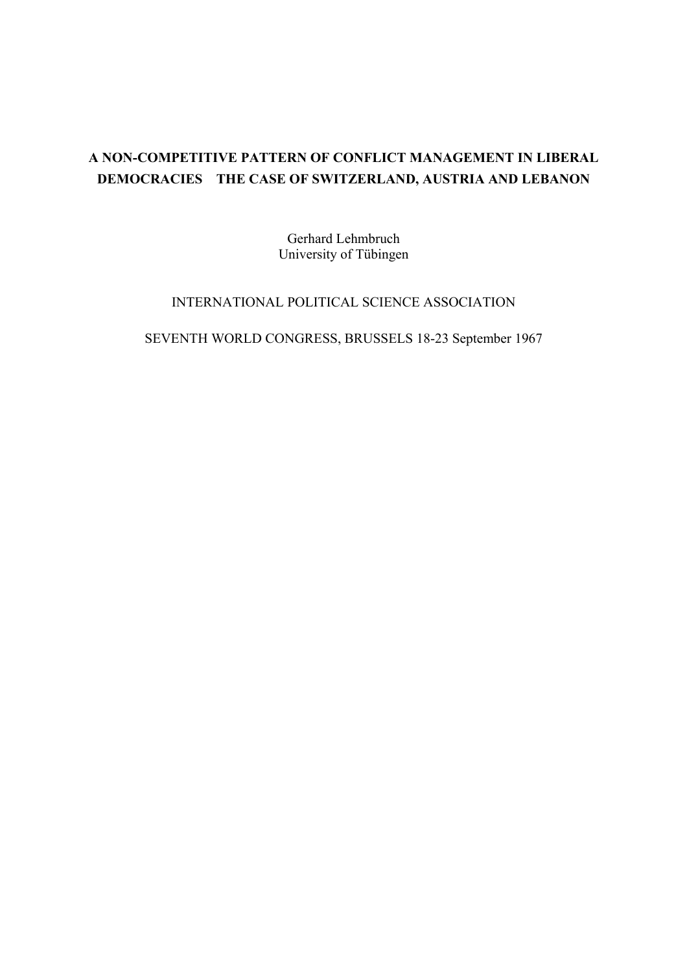# **A NON-COMPETITIVE PATTERN OF CONFLICT MANAGEMENT IN LIBERAL DEMOCRACIES THE CASE OF SWITZERLAND, AUSTRIA AND LEBANON**

Gerhard Lehmbruch University of Tübingen

### INTERNATIONAL POLITICAL SCIENCE ASSOCIATION

SEVENTH WORLD CONGRESS, BRUSSELS 18-23 September 1967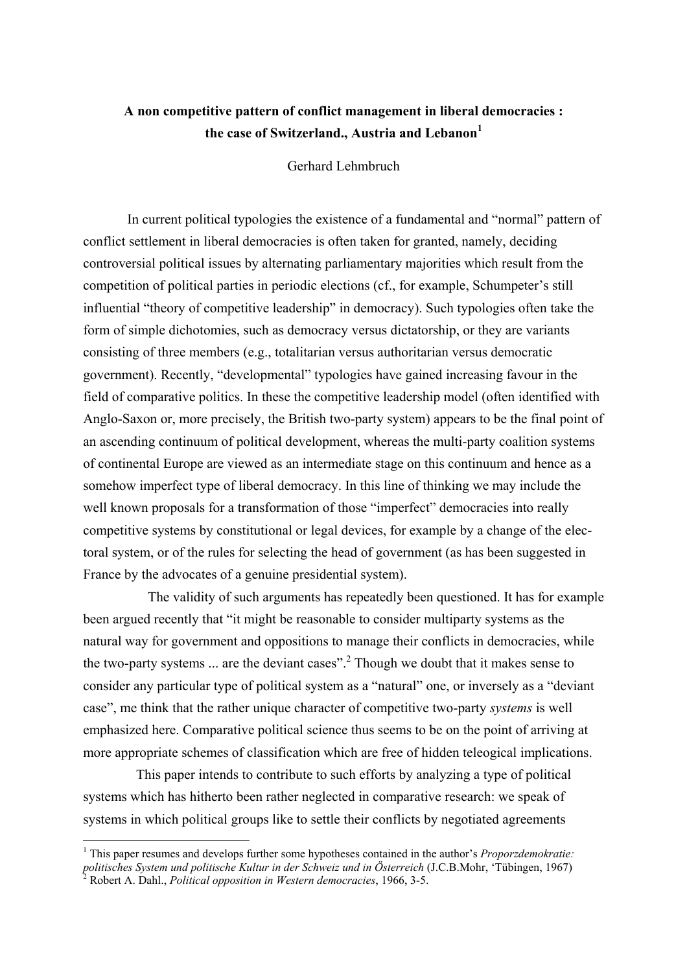## **A non competitive pattern of conflict management in liberal democracies : the case of Switzerland., Austria and Lebanon[1](#page-1-0)**

Gerhard Lehmbruch

In current political typologies the existence of a fundamental and "normal" pattern of conflict settlement in liberal democracies is often taken for granted, namely, deciding controversial political issues by alternating parliamentary majorities which result from the competition of political parties in periodic elections (cf., for example, Schumpeter's still influential "theory of competitive leadership" in democracy). Such typologies often take the form of simple dichotomies, such as democracy versus dictatorship, or they are variants consisting of three members (e.g., totalitarian versus authoritarian versus democratic government). Recently, "developmental" typologies have gained increasing favour in the field of comparative politics. In these the competitive leadership model (often identified with Anglo-Saxon or, more precisely, the British two-party system) appears to be the final point of an ascending continuum of political development, whereas the multi-party coalition systems of continental Europe are viewed as an intermediate stage on this continuum and hence as a somehow imperfect type of liberal democracy. In this line of thinking we may include the well known proposals for a transformation of those "imperfect" democracies into really competitive systems by constitutional or legal devices, for example by a change of the electoral system, or of the rules for selecting the head of government (as has been suggested in France by the advocates of a genuine presidential system).

The validity of such arguments has repeatedly been questioned. It has for example been argued recently that "it might be reasonable to consider multiparty systems as the natural way for government and oppositions to manage their conflicts in democracies, while the two-party systems  $\ldots$  are the deviant cases".<sup>2</sup> Though we doubt that it makes sense to consider any particular type of political system as a "natural" one, or inversely as a "deviant case", me think that the rather unique character of competitive two-party *systems* is well emphasized here. Comparative political science thus seems to be on the point of arriving at more appropriate schemes of classification which are free of hidden teleogical implications.

This paper intends to contribute to such efforts by analyzing a type of political systems which has hitherto been rather neglected in comparative research: we speak of systems in which political groups like to settle their conflicts by negotiated agreements

 $\overline{a}$ 

<span id="page-1-1"></span><span id="page-1-0"></span><sup>&</sup>lt;sup>1</sup> This paper resumes and develops further some hypotheses contained in the author's *Proporzdemokratie*: *politisches System und politische Kultur in der Schweiz und in Österreich* (J.C.B.Mohr, 'Tübingen, 1967) 2 Robert A. Dahl., *Political opposition in Western democracies*, 1966, 3-5.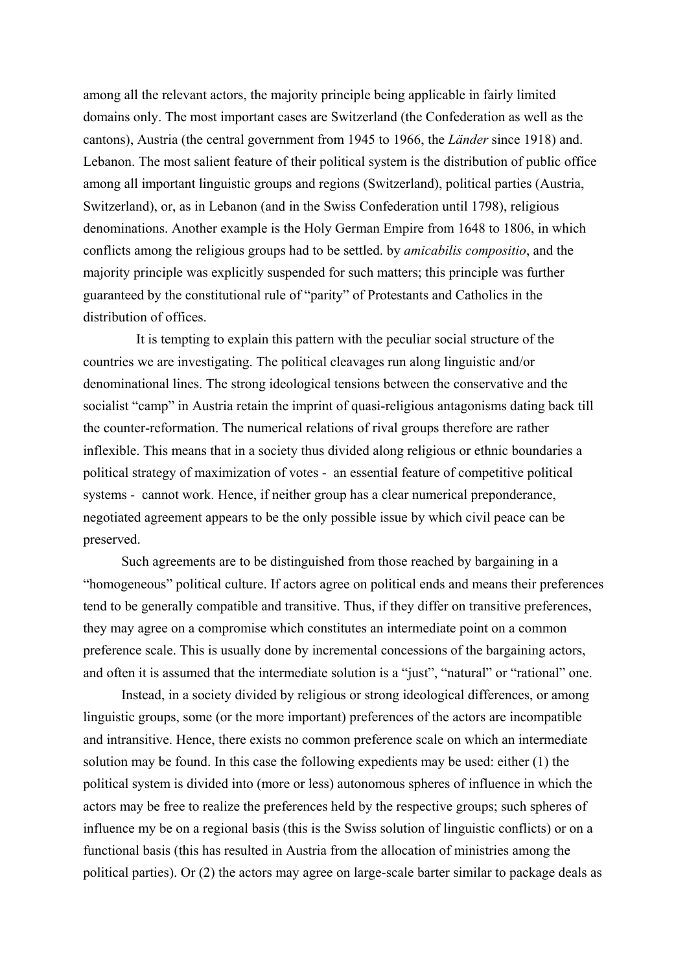among all the relevant actors, the majority principle being applicable in fairly limited domains only. The most important cases are Switzerland (the Confederation as well as the cantons), Austria (the central government from 1945 to 1966, the *Länder* since 1918) and. Lebanon. The most salient feature of their political system is the distribution of public office among all important linguistic groups and regions (Switzerland), political parties (Austria, Switzerland), or, as in Lebanon (and in the Swiss Confederation until 1798), religious denominations. Another example is the Holy German Empire from 1648 to 1806, in which conflicts among the religious groups had to be settled. by *amicabilis compositio*, and the majority principle was explicitly suspended for such matters; this principle was further guaranteed by the constitutional rule of "parity" of Protestants and Catholics in the distribution of offices.

It is tempting to explain this pattern with the peculiar social structure of the countries we are investigating. The political cleavages run along linguistic and/or denominational lines. The strong ideological tensions between the conservative and the socialist "camp" in Austria retain the imprint of quasi-religious antagonisms dating back till the counter-reformation. The numerical relations of rival groups therefore are rather inflexible. This means that in a society thus divided along religious or ethnic boundaries a political strategy of maximization of votes - an essential feature of competitive political systems - cannot work. Hence, if neither group has a clear numerical preponderance, negotiated agreement appears to be the only possible issue by which civil peace can be preserved.

Such agreements are to be distinguished from those reached by bargaining in a "homogeneous" political culture. If actors agree on political ends and means their preferences tend to be generally compatible and transitive. Thus, if they differ on transitive preferences, they may agree on a compromise which constitutes an intermediate point on a common preference scale. This is usually done by incremental concessions of the bargaining actors, and often it is assumed that the intermediate solution is a "just", "natural" or "rational" one.

Instead, in a society divided by religious or strong ideological differences, or among linguistic groups, some (or the more important) preferences of the actors are incompatible and intransitive. Hence, there exists no common preference scale on which an intermediate solution may be found. In this case the following expedients may be used: either (1) the political system is divided into (more or less) autonomous spheres of influence in which the actors may be free to realize the preferences held by the respective groups; such spheres of influence my be on a regional basis (this is the Swiss solution of linguistic conflicts) or on a functional basis (this has resulted in Austria from the allocation of ministries among the political parties). Or (2) the actors may agree on large-scale barter similar to package deals as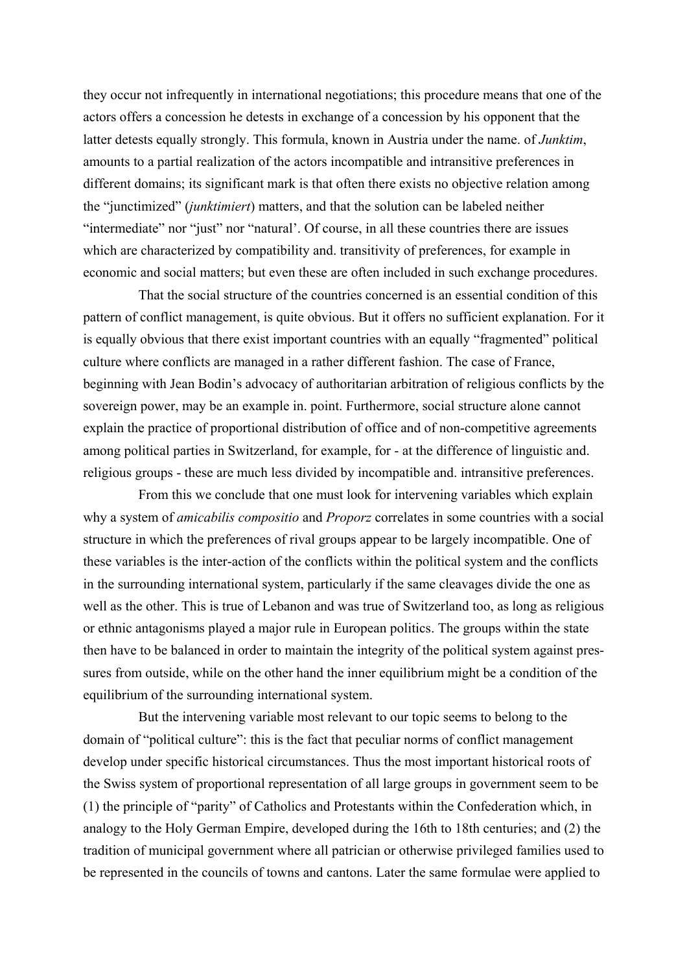they occur not infrequently in international negotiations; this procedure means that one of the actors offers a concession he detests in exchange of a concession by his opponent that the latter detests equally strongly. This formula, known in Austria under the name. of *Junktim*, amounts to a partial realization of the actors incompatible and intransitive preferences in different domains; its significant mark is that often there exists no objective relation among the "junctimized" (*junktimiert*) matters, and that the solution can be labeled neither "intermediate" nor "just" nor "natural'. Of course, in all these countries there are issues which are characterized by compatibility and. transitivity of preferences, for example in economic and social matters; but even these are often included in such exchange procedures.

That the social structure of the countries concerned is an essential condition of this pattern of conflict management, is quite obvious. But it offers no sufficient explanation. For it is equally obvious that there exist important countries with an equally "fragmented" political culture where conflicts are managed in a rather different fashion. The case of France, beginning with Jean Bodin's advocacy of authoritarian arbitration of religious conflicts by the sovereign power, may be an example in. point. Furthermore, social structure alone cannot explain the practice of proportional distribution of office and of non-competitive agreements among political parties in Switzerland, for example, for - at the difference of linguistic and. religious groups - these are much less divided by incompatible and. intransitive preferences.

From this we conclude that one must look for intervening variables which explain why a system of *amicabilis compositio* and *Proporz* correlates in some countries with a social structure in which the preferences of rival groups appear to be largely incompatible. One of these variables is the inter-action of the conflicts within the political system and the conflicts in the surrounding international system, particularly if the same cleavages divide the one as well as the other. This is true of Lebanon and was true of Switzerland too, as long as religious or ethnic antagonisms played a major rule in European politics. The groups within the state then have to be balanced in order to maintain the integrity of the political system against pressures from outside, while on the other hand the inner equilibrium might be a condition of the equilibrium of the surrounding international system.

But the intervening variable most relevant to our topic seems to belong to the domain of "political culture": this is the fact that peculiar norms of conflict management develop under specific historical circumstances. Thus the most important historical roots of the Swiss system of proportional representation of all large groups in government seem to be (1) the principle of "parity" of Catholics and Protestants within the Confederation which, in analogy to the Holy German Empire, developed during the 16th to 18th centuries; and (2) the tradition of municipal government where all patrician or otherwise privileged families used to be represented in the councils of towns and cantons. Later the same formulae were applied to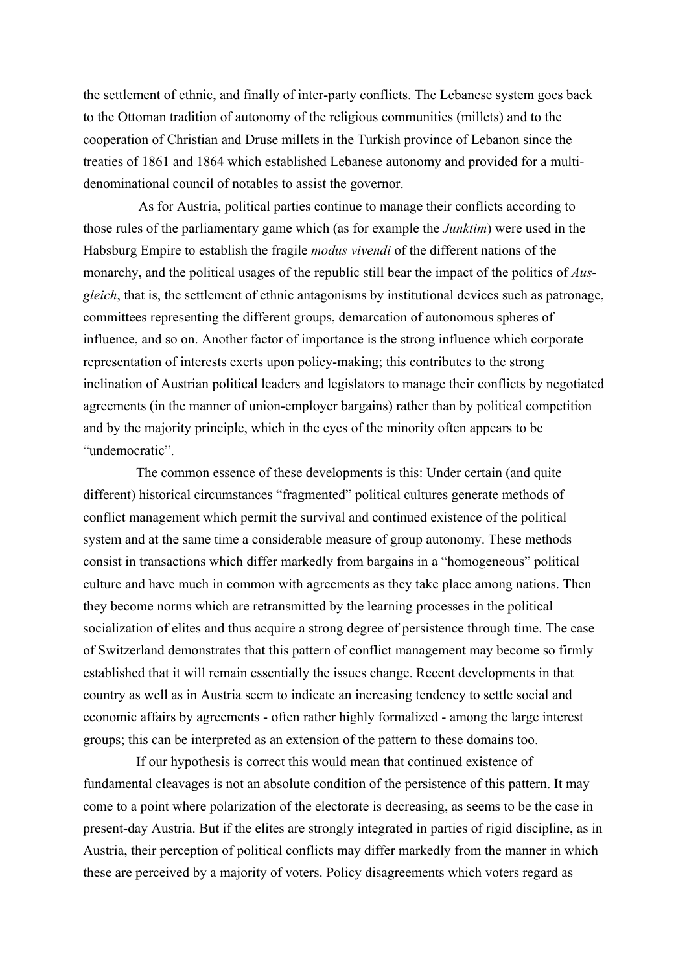the settlement of ethnic, and finally of inter-party conflicts. The Lebanese system goes back to the Ottoman tradition of autonomy of the religious communities (millets) and to the cooperation of Christian and Druse millets in the Turkish province of Lebanon since the treaties of 1861 and 1864 which established Lebanese autonomy and provided for a multidenominational council of notables to assist the governor.

As for Austria, political parties continue to manage their conflicts according to those rules of the parliamentary game which (as for example the *Junktim*) were used in the Habsburg Empire to establish the fragile *modus vivendi* of the different nations of the monarchy, and the political usages of the republic still bear the impact of the politics of *Ausgleich*, that is, the settlement of ethnic antagonisms by institutional devices such as patronage, committees representing the different groups, demarcation of autonomous spheres of influence, and so on. Another factor of importance is the strong influence which corporate representation of interests exerts upon policy-making; this contributes to the strong inclination of Austrian political leaders and legislators to manage their conflicts by negotiated agreements (in the manner of union-employer bargains) rather than by political competition and by the majority principle, which in the eyes of the minority often appears to be "undemocratic".

The common essence of these developments is this: Under certain (and quite different) historical circumstances "fragmented" political cultures generate methods of conflict management which permit the survival and continued existence of the political system and at the same time a considerable measure of group autonomy. These methods consist in transactions which differ markedly from bargains in a "homogeneous" political culture and have much in common with agreements as they take place among nations. Then they become norms which are retransmitted by the learning processes in the political socialization of elites and thus acquire a strong degree of persistence through time. The case of Switzerland demonstrates that this pattern of conflict management may become so firmly established that it will remain essentially the issues change. Recent developments in that country as well as in Austria seem to indicate an increasing tendency to settle social and economic affairs by agreements - often rather highly formalized - among the large interest groups; this can be interpreted as an extension of the pattern to these domains too.

If our hypothesis is correct this would mean that continued existence of fundamental cleavages is not an absolute condition of the persistence of this pattern. It may come to a point where polarization of the electorate is decreasing, as seems to be the case in present-day Austria. But if the elites are strongly integrated in parties of rigid discipline, as in Austria, their perception of political conflicts may differ markedly from the manner in which these are perceived by a majority of voters. Policy disagreements which voters regard as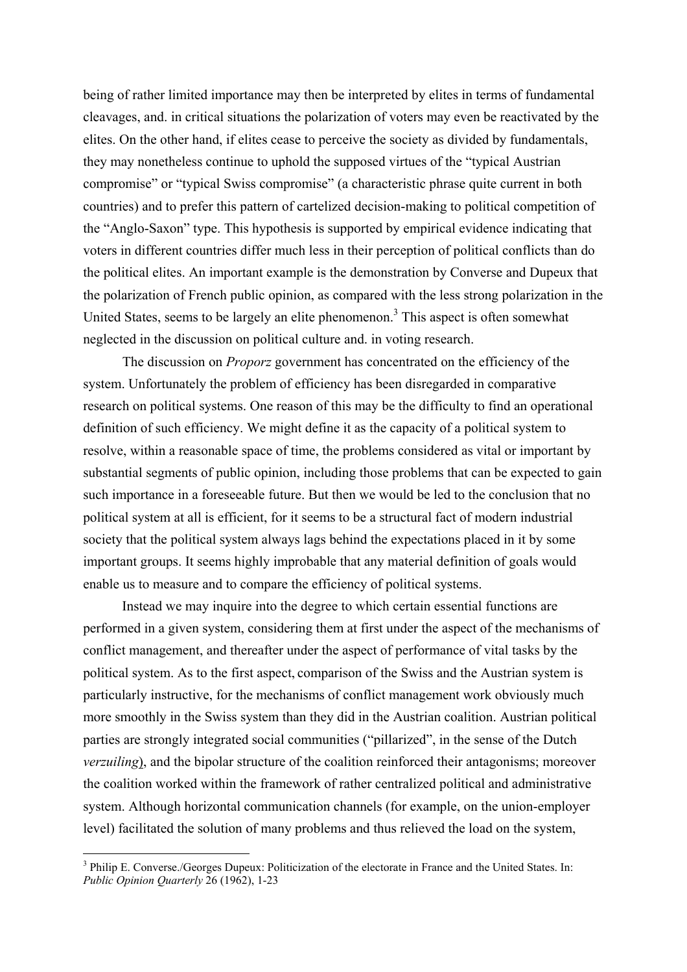being of rather limited importance may then be interpreted by elites in terms of fundamental cleavages, and. in critical situations the polarization of voters may even be reactivated by the elites. On the other hand, if elites cease to perceive the society as divided by fundamentals, they may nonetheless continue to uphold the supposed virtues of the "typical Austrian compromise" or "typical Swiss compromise" (a characteristic phrase quite current in both countries) and to prefer this pattern of cartelized decision-making to political competition of the "Anglo-Saxon" type. This hypothesis is supported by empirical evidence indicating that voters in different countries differ much less in their perception of political conflicts than do the political elites. An important example is the demonstration by Converse and Dupeux that the polarization of French public opinion, as compared with the less strong polarization in the United States, seems to be largely an elite phenomenon.<sup>[3](#page-5-0)</sup> This aspect is often somewhat neglected in the discussion on political culture and. in voting research.

The discussion on *Proporz* government has concentrated on the efficiency of the system. Unfortunately the problem of efficiency has been disregarded in comparative research on political systems. One reason of this may be the difficulty to find an operational definition of such efficiency. We might define it as the capacity of a political system to resolve, within a reasonable space of time, the problems considered as vital or important by substantial segments of public opinion, including those problems that can be expected to gain such importance in a foreseeable future. But then we would be led to the conclusion that no political system at all is efficient, for it seems to be a structural fact of modern industrial society that the political system always lags behind the expectations placed in it by some important groups. It seems highly improbable that any material definition of goals would enable us to measure and to compare the efficiency of political systems.

Instead we may inquire into the degree to which certain essential functions are performed in a given system, considering them at first under the aspect of the mechanisms of conflict management, and thereafter under the aspect of performance of vital tasks by the political system. As to the first aspect, comparison of the Swiss and the Austrian system is particularly instructive, for the mechanisms of conflict management work obviously much more smoothly in the Swiss system than they did in the Austrian coalition. Austrian political parties are strongly integrated social communities ("pillarized", in the sense of the Dutch *verzuiling*), and the bipolar structure of the coalition reinforced their antagonisms; moreover the coalition worked within the framework of rather centralized political and administrative system. Although horizontal communication channels (for example, on the union-employer level) facilitated the solution of many problems and thus relieved the load on the system,

 $\overline{a}$ 

<span id="page-5-0"></span><sup>&</sup>lt;sup>3</sup> Philip E. Converse./Georges Dupeux: Politicization of the electorate in France and the United States. In: *Public Opinion Quarterly* 26 (1962), 1-23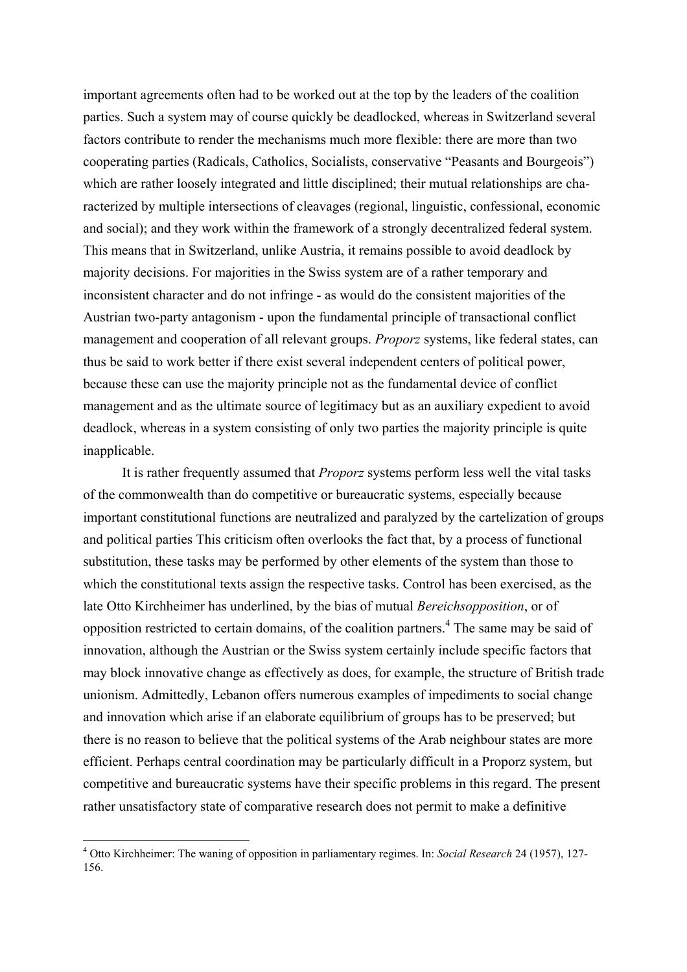important agreements often had to be worked out at the top by the leaders of the coalition parties. Such a system may of course quickly be deadlocked, whereas in Switzerland several factors contribute to render the mechanisms much more flexible: there are more than two cooperating parties (Radicals, Catholics, Socialists, conservative "Peasants and Bourgeois") which are rather loosely integrated and little disciplined; their mutual relationships are characterized by multiple intersections of cleavages (regional, linguistic, confessional, economic and social); and they work within the framework of a strongly decentralized federal system. This means that in Switzerland, unlike Austria, it remains possible to avoid deadlock by majority decisions. For majorities in the Swiss system are of a rather temporary and inconsistent character and do not infringe - as would do the consistent majorities of the Austrian two-party antagonism - upon the fundamental principle of transactional conflict management and cooperation of all relevant groups. *Proporz* systems, like federal states, can thus be said to work better if there exist several independent centers of political power, because these can use the majority principle not as the fundamental device of conflict management and as the ultimate source of legitimacy but as an auxiliary expedient to avoid deadlock, whereas in a system consisting of only two parties the majority principle is quite inapplicable.

It is rather frequently assumed that *Proporz* systems perform less well the vital tasks of the commonwealth than do competitive or bureaucratic systems, especially because important constitutional functions are neutralized and paralyzed by the cartelization of groups and political parties This criticism often overlooks the fact that, by a process of functional substitution, these tasks may be performed by other elements of the system than those to which the constitutional texts assign the respective tasks. Control has been exercised, as the late Otto Kirchheimer has underlined, by the bias of mutual *Bereichsopposition*, or of opposition restricted to certain domains, of the coalition partners.<sup>[4](#page-6-0)</sup> The same may be said of innovation, although the Austrian or the Swiss system certainly include specific factors that may block innovative change as effectively as does, for example, the structure of British trade unionism. Admittedly, Lebanon offers numerous examples of impediments to social change and innovation which arise if an elaborate equilibrium of groups has to be preserved; but there is no reason to believe that the political systems of the Arab neighbour states are more efficient. Perhaps central coordination may be particularly difficult in a Proporz system, but competitive and bureaucratic systems have their specific problems in this regard. The present rather unsatisfactory state of comparative research does not permit to make a definitive

 $\overline{a}$ 

<span id="page-6-0"></span><sup>4</sup> Otto Kirchheimer: The waning of opposition in parliamentary regimes. In: *Social Research* 24 (1957), 127- 156.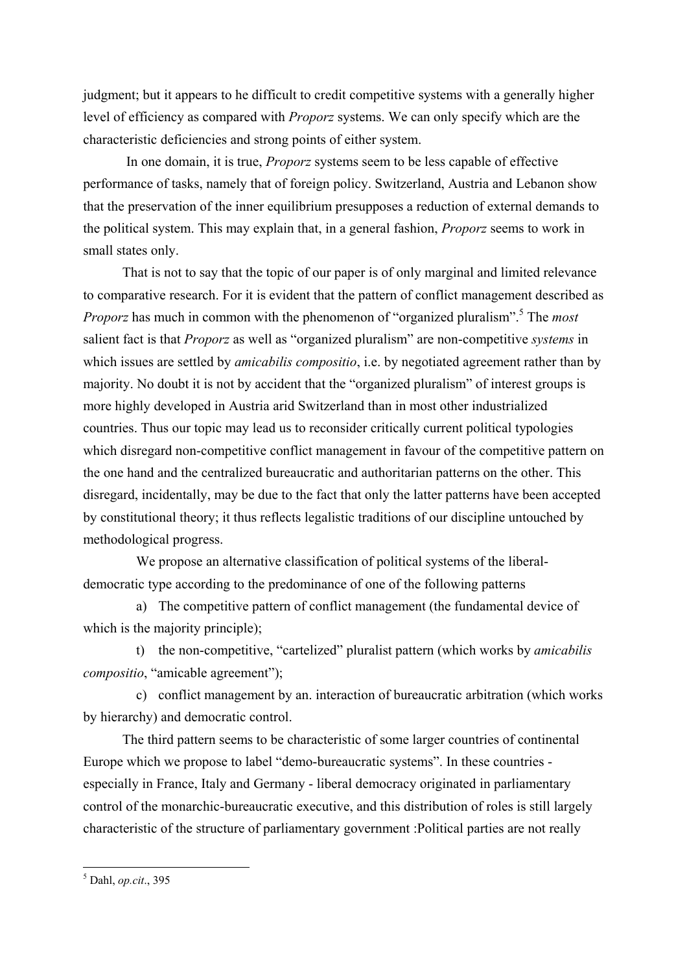judgment; but it appears to he difficult to credit competitive systems with a generally higher level of efficiency as compared with *Proporz* systems. We can only specify which are the characteristic deficiencies and strong points of either system.

In one domain, it is true, *Proporz* systems seem to be less capable of effective performance of tasks, namely that of foreign policy. Switzerland, Austria and Lebanon show that the preservation of the inner equilibrium presupposes a reduction of external demands to the political system. This may explain that, in a general fashion, *Proporz* seems to work in small states only.

That is not to say that the topic of our paper is of only marginal and limited relevance to comparative research. For it is evident that the pattern of conflict management described as *Proporz* has much in common with the phenomenon of "organized pluralism".<sup>[5](#page-7-0)</sup> The *most* salient fact is that *Proporz* as well as "organized pluralism" are non-competitive *systems* in which issues are settled by *amicabilis compositio*, i.e. by negotiated agreement rather than by majority. No doubt it is not by accident that the "organized pluralism" of interest groups is more highly developed in Austria arid Switzerland than in most other industrialized countries. Thus our topic may lead us to reconsider critically current political typologies which disregard non-competitive conflict management in favour of the competitive pattern on the one hand and the centralized bureaucratic and authoritarian patterns on the other. This disregard, incidentally, may be due to the fact that only the latter patterns have been accepted by constitutional theory; it thus reflects legalistic traditions of our discipline untouched by methodological progress.

We propose an alternative classification of political systems of the liberaldemocratic type according to the predominance of one of the following patterns

a) The competitive pattern of conflict management (the fundamental device of which is the majority principle);

t) the non-competitive, "cartelized" pluralist pattern (which works by *amicabilis compositio*, "amicable agreement");

c) conflict management by an. interaction of bureaucratic arbitration (which works by hierarchy) and democratic control.

The third pattern seems to be characteristic of some larger countries of continental Europe which we propose to label "demo-bureaucratic systems". In these countries especially in France, Italy and Germany - liberal democracy originated in parliamentary control of the monarchic-bureaucratic executive, and this distribution of roles is still largely characteristic of the structure of parliamentary government :Political parties are not really

<span id="page-7-0"></span> 5 Dahl, *op.cit*., 395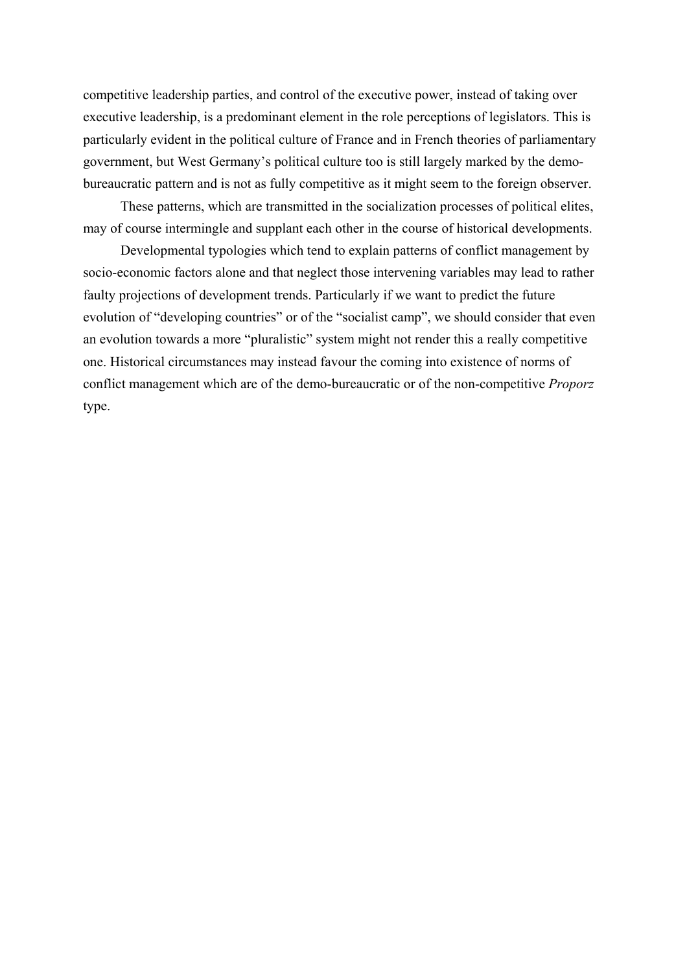competitive leadership parties, and control of the executive power, instead of taking over executive leadership, is a predominant element in the role perceptions of legislators. This is particularly evident in the political culture of France and in French theories of parliamentary government, but West Germany's political culture too is still largely marked by the demobureaucratic pattern and is not as fully competitive as it might seem to the foreign observer.

These patterns, which are transmitted in the socialization processes of political elites, may of course intermingle and supplant each other in the course of historical developments.

Developmental typologies which tend to explain patterns of conflict management by socio-economic factors alone and that neglect those intervening variables may lead to rather faulty projections of development trends. Particularly if we want to predict the future evolution of "developing countries" or of the "socialist camp", we should consider that even an evolution towards a more "pluralistic" system might not render this a really competitive one. Historical circumstances may instead favour the coming into existence of norms of conflict management which are of the demo-bureaucratic or of the non-competitive *Proporz* type.